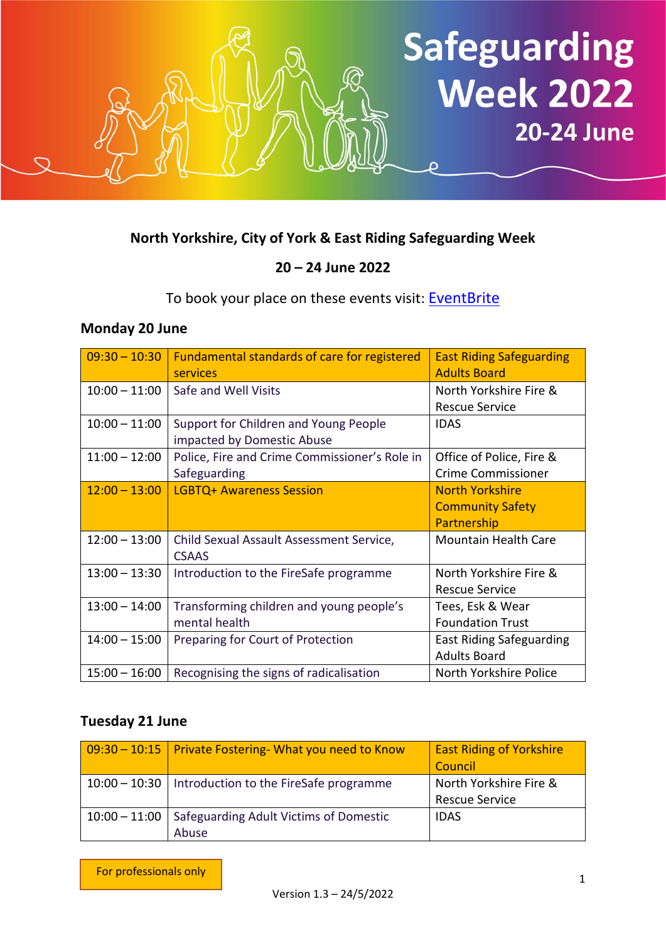

#### **North Yorkshire, City of York & East Riding Safeguarding Week**

## **20 – 24 June 2022**

To book your place on these events visit: [EventBrite](https://www.eventbrite.com/cc/safeguarding-week-2022-275609)

#### **Monday 20 June**

| $09:30 - 10:30$ | Fundamental standards of care for registered<br>services            | <b>East Riding Safeguarding</b><br><b>Adults Board</b> |
|-----------------|---------------------------------------------------------------------|--------------------------------------------------------|
| $10:00 - 11:00$ | Safe and Well Visits                                                | North Yorkshire Fire &                                 |
|                 |                                                                     | <b>Rescue Service</b>                                  |
| $10:00 - 11:00$ | Support for Children and Young People<br>impacted by Domestic Abuse | <b>IDAS</b>                                            |
| $11:00 - 12:00$ | Police, Fire and Crime Commissioner's Role in                       | Office of Police, Fire &                               |
|                 | Safeguarding                                                        | <b>Crime Commissioner</b>                              |
| $12:00 - 13:00$ | <b>LGBTQ+ Awareness Session</b>                                     | <b>North Yorkshire</b>                                 |
|                 |                                                                     | <b>Community Safety</b>                                |
|                 |                                                                     | Partnership                                            |
| $12:00 - 13:00$ | Child Sexual Assault Assessment Service,                            | <b>Mountain Health Care</b>                            |
|                 | <b>CSAAS</b>                                                        |                                                        |
| $13:00 - 13:30$ | Introduction to the FireSafe programme                              | North Yorkshire Fire &                                 |
|                 |                                                                     | <b>Rescue Service</b>                                  |
| $13:00 - 14:00$ | Transforming children and young people's                            | Tees, Esk & Wear                                       |
|                 | mental health                                                       | <b>Foundation Trust</b>                                |
| $14:00 - 15:00$ | Preparing for Court of Protection                                   | <b>East Riding Safeguarding</b>                        |
|                 |                                                                     | <b>Adults Board</b>                                    |
| $15:00 - 16:00$ | Recognising the signs of radicalisation                             | North Yorkshire Police                                 |

### **Tuesday 21 June**

| 09:30 – 10:15   Private Fostering- What you need to Know        | <b>East Riding of Yorkshire</b><br>Council      |
|-----------------------------------------------------------------|-------------------------------------------------|
| $10:00 - 10:30$   Introduction to the FireSafe programme        | North Yorkshire Fire &<br><b>Rescue Service</b> |
| 10:00 – 11:00   Safeguarding Adult Victims of Domestic<br>Abuse | <b>IDAS</b>                                     |

For professionals only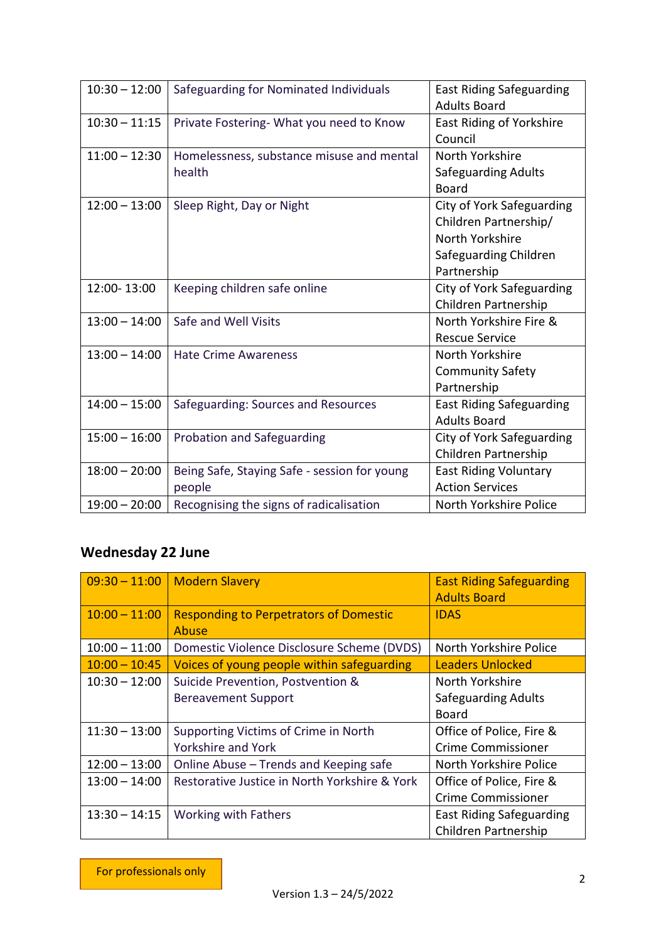| $10:30 - 12:00$ | Safeguarding for Nominated Individuals       | <b>East Riding Safeguarding</b> |
|-----------------|----------------------------------------------|---------------------------------|
|                 |                                              | <b>Adults Board</b>             |
| $10:30 - 11:15$ | Private Fostering- What you need to Know     | East Riding of Yorkshire        |
|                 |                                              | Council                         |
| $11:00 - 12:30$ | Homelessness, substance misuse and mental    | North Yorkshire                 |
|                 | health                                       | <b>Safeguarding Adults</b>      |
|                 |                                              | <b>Board</b>                    |
| $12:00 - 13:00$ | Sleep Right, Day or Night                    | City of York Safeguarding       |
|                 |                                              | Children Partnership/           |
|                 |                                              | North Yorkshire                 |
|                 |                                              | Safeguarding Children           |
|                 |                                              | Partnership                     |
| 12:00-13:00     | Keeping children safe online                 | City of York Safeguarding       |
|                 |                                              | Children Partnership            |
| $13:00 - 14:00$ | Safe and Well Visits                         | North Yorkshire Fire &          |
|                 |                                              | <b>Rescue Service</b>           |
| $13:00 - 14:00$ | <b>Hate Crime Awareness</b>                  | North Yorkshire                 |
|                 |                                              | <b>Community Safety</b>         |
|                 |                                              | Partnership                     |
| $14:00 - 15:00$ | Safeguarding: Sources and Resources          | <b>East Riding Safeguarding</b> |
|                 |                                              | <b>Adults Board</b>             |
| $15:00 - 16:00$ | Probation and Safeguarding                   | City of York Safeguarding       |
|                 |                                              | Children Partnership            |
| $18:00 - 20:00$ | Being Safe, Staying Safe - session for young | <b>East Riding Voluntary</b>    |
|                 | people                                       | <b>Action Services</b>          |
| $19:00 - 20:00$ | Recognising the signs of radicalisation      | North Yorkshire Police          |

# **Wednesday 22 June**

| $09:30 - 11:00$ | <b>Modern Slavery</b>                                         | <b>East Riding Safeguarding</b><br><b>Adults Board</b> |
|-----------------|---------------------------------------------------------------|--------------------------------------------------------|
| $10:00 - 11:00$ | <b>Responding to Perpetrators of Domestic</b><br><b>Abuse</b> | <b>IDAS</b>                                            |
| $10:00 - 11:00$ | Domestic Violence Disclosure Scheme (DVDS)                    | North Yorkshire Police                                 |
| $10:00 - 10:45$ | Voices of young people within safeguarding                    | <b>Leaders Unlocked</b>                                |
| $10:30 - 12:00$ | Suicide Prevention, Postvention &                             | North Yorkshire                                        |
|                 | <b>Bereavement Support</b>                                    | <b>Safeguarding Adults</b>                             |
|                 |                                                               | <b>Board</b>                                           |
| $11:30 - 13:00$ | Supporting Victims of Crime in North                          | Office of Police, Fire &                               |
|                 | <b>Yorkshire and York</b>                                     | <b>Crime Commissioner</b>                              |
| $12:00 - 13:00$ | Online Abuse - Trends and Keeping safe                        | North Yorkshire Police                                 |
| $13:00 - 14:00$ | Restorative Justice in North Yorkshire & York                 | Office of Police, Fire &                               |
|                 |                                                               | <b>Crime Commissioner</b>                              |
| $13:30 - 14:15$ | <b>Working with Fathers</b>                                   | <b>East Riding Safeguarding</b>                        |
|                 |                                                               | Children Partnership                                   |

For professionals only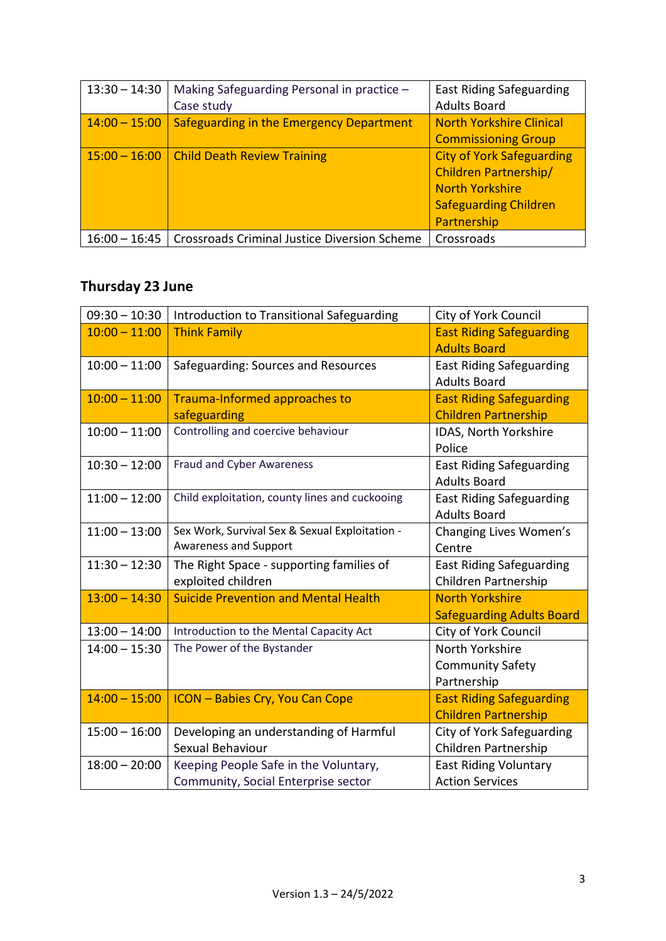| $13:30 - 14:30$ | Making Safeguarding Personal in practice -<br>Case study | <b>East Riding Safeguarding</b><br><b>Adults Board</b>                                                                                    |
|-----------------|----------------------------------------------------------|-------------------------------------------------------------------------------------------------------------------------------------------|
| $14:00 - 15:00$ | Safeguarding in the Emergency Department                 | <b>North Yorkshire Clinical</b><br><b>Commissioning Group</b>                                                                             |
| $15:00 - 16:00$ | <b>Child Death Review Training</b>                       | <b>City of York Safeguarding</b><br><b>Children Partnership/</b><br><b>North Yorkshire</b><br><b>Safeguarding Children</b><br>Partnership |
| $16:00 - 16:45$ | <b>Crossroads Criminal Justice Diversion Scheme</b>      | Crossroads                                                                                                                                |

## **Thursday 23 June**

| $09:30 - 10:30$ | Introduction to Transitional Safeguarding                                    | City of York Council                                           |
|-----------------|------------------------------------------------------------------------------|----------------------------------------------------------------|
| $10:00 - 11:00$ | <b>Think Family</b>                                                          | <b>East Riding Safeguarding</b><br><b>Adults Board</b>         |
| $10:00 - 11:00$ | Safeguarding: Sources and Resources                                          | <b>East Riding Safeguarding</b><br><b>Adults Board</b>         |
| $10:00 - 11:00$ | Trauma-Informed approaches to                                                | <b>East Riding Safeguarding</b>                                |
|                 | safeguarding                                                                 | <b>Children Partnership</b>                                    |
| $10:00 - 11:00$ | Controlling and coercive behaviour                                           | IDAS, North Yorkshire<br>Police                                |
| $10:30 - 12:00$ | <b>Fraud and Cyber Awareness</b>                                             | <b>East Riding Safeguarding</b><br><b>Adults Board</b>         |
| $11:00 - 12:00$ | Child exploitation, county lines and cuckooing                               | <b>East Riding Safeguarding</b><br><b>Adults Board</b>         |
| $11:00 - 13:00$ | Sex Work, Survival Sex & Sexual Exploitation -<br>Awareness and Support      | Changing Lives Women's<br>Centre                               |
| $11:30 - 12:30$ | The Right Space - supporting families of<br>exploited children               | <b>East Riding Safeguarding</b><br>Children Partnership        |
| $13:00 - 14:30$ | <b>Suicide Prevention and Mental Health</b>                                  | <b>North Yorkshire</b><br><b>Safeguarding Adults Board</b>     |
| $13:00 - 14:00$ | Introduction to the Mental Capacity Act                                      | City of York Council                                           |
| $14:00 - 15:30$ | The Power of the Bystander                                                   | North Yorkshire                                                |
|                 |                                                                              | <b>Community Safety</b>                                        |
|                 |                                                                              | Partnership                                                    |
| $14:00 - 15:00$ | <b>ICON - Babies Cry, You Can Cope</b>                                       | <b>East Riding Safeguarding</b><br><b>Children Partnership</b> |
| $15:00 - 16:00$ | Developing an understanding of Harmful<br>Sexual Behaviour                   | City of York Safeguarding<br>Children Partnership              |
| $18:00 - 20:00$ | Keeping People Safe in the Voluntary,<br>Community, Social Enterprise sector | <b>East Riding Voluntary</b><br><b>Action Services</b>         |